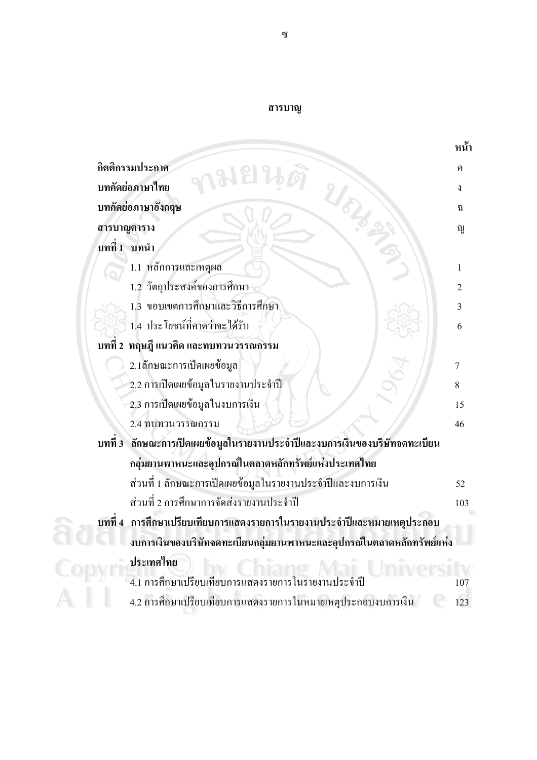|  | สารบาณ |  |
|--|--------|--|
|  |        |  |

|                                                                                | หน้า           |
|--------------------------------------------------------------------------------|----------------|
| กิตติกรรมประกาศ                                                                | ิค             |
| บทคัดย่อภาษาไทย                                                                | J              |
| บทคัดย่อภาษาอังกฤษ                                                             | นิ             |
| สารบาญตาราง                                                                    | ល្ង            |
| บทที่ 1 บทนำ                                                                   |                |
| 1.1 หลักการและเหตุผล                                                           | 1              |
| 1.2 วัตถุประสงค์ของการศึกษา                                                    | $\overline{2}$ |
| 1.3 ขอบเขตการศึกษาและวิธีการศึกษา                                              | 3              |
| 1.4 ประโยชน์ที่คาดว่าจะได้รับ                                                  | 6              |
| บทที่ 2 ทฤษฎี แนวคิด และทบทวนวรรณกรรม                                          |                |
| 2.1ลักษณะการเปิดเผยข้อมูล                                                      | 7              |
| 2.2 การเปิดเผยข้อมูลในรายงานประจำปี                                            | 8              |
| 2.3 การเปิดเผยข้อมูลในงบการเงิน                                                | 15             |
| 2.4 ทบทวนวรรณกรรม                                                              | 46             |
| ลักษณะการเปิดเผยข้อมูลในรายงานประจำปีและงบการเงินของบริษัทจดทะเบียน<br>บทที่ 3 |                |
| กลุ่มยานพาหนะและอุปกรณ์ในตลาดหลักทรัพย์แห่งประเทศไทย                           |                |
| ส่วนที่ 1 ลักษณะการเปิดเผยข้อมูลในรายงานประจำปีและงบการเงิน                    | 52             |
| ส่วนที่ 2 การศึกษาการจัดส่งรายงานประจำปี                                       | 103            |
| บทที่ 4   การศึกษาเปรียบเทียบการแสดงรายการในรายงานประจำปีและหมายเหตุประกอบ     |                |
| งบการเงินของบริษัทจดทะเบียนกลุ่มยานพาหนะและอุปกรณ์ในตลาดหลักทรัพย์แห่ง         |                |
| ประเทศไทย                                                                      |                |
| 4.1 การศึกษาเปรียบเทียบการแสดงรายการในรายงานประจำปี                            | 107            |
| 4.2 การศึกษาเปรียบเทียบการแสดงรายการในหมายเหตุประกอบงบการเงิน                  | 123            |
|                                                                                |                |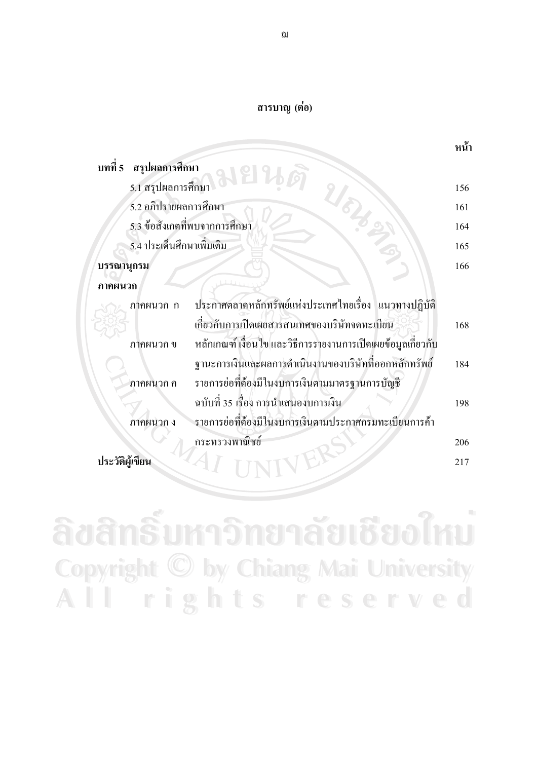## สารบาญ (ต่อ)

|            |                               |                                                              | หน้า |
|------------|-------------------------------|--------------------------------------------------------------|------|
| บทที่ 5    | สรุปผลการศึกษา                |                                                              |      |
|            | 5.1 สรุปผลการศึกษา            |                                                              | 156  |
|            | 5.2 อภิปรายผลการศึกษา         |                                                              | 161  |
|            | 5.3 ข้อสังเกตที่พบจากการศึกษา |                                                              | 164  |
|            | 5.4 ประเด็นศึกษาเพิ่มเติม     |                                                              | 165  |
| บรรณานุกรม |                               |                                                              | 166  |
| ภาคผนวก    |                               |                                                              |      |
|            | ภาคผนวก ก                     | ประกาศตลาดหลักทรัพย์แห่งประเทศไทยเรื่อง แนวทางปฏิบัติ        |      |
|            |                               | เกี่ยวกับการเปิดเผยสารสนเทศของบริษัทจดทะเบียน                | 168  |
|            | ภาคผนวก ข                     | หลักเกณฑ์ เงื่อนไข และวิธีการรายงานการเปิดเผยข้อมูลเกี่ยวกับ |      |
|            |                               | ฐานะการเงินและผลการคำเนินงานของบริษัทที่ออกหลักทรัพย์        | 184  |
|            | ภาคผนวก ค                     | รายการย่อที่ต้องมีในงบการเงินตามมาตรฐานการบัญชี              |      |
|            |                               | ฉบับที่ 35 เรื่อง การนำเสนองบการเงิน                         | 198  |
|            | ภาคผนวก ง                     | รายการย่อที่ต้องมีในงบการเงินตามประกาศกรมทะเบียนการค้า       |      |
|            |                               | กระทรวงพาณิชย์                                               | 206  |
|            |                               |                                                              | 217  |

ลิขสิทธิ์มหาวิทยาลัยเชียงใหม่ **Copyright © by Chiang Mai University** All rights reserved